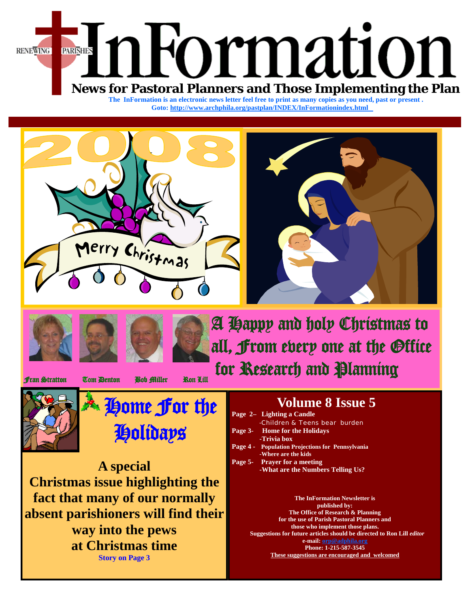

The InFormation is an electronic news letter feel free to print as many copies as you need, past or present. **Goto[: http://www.archphila.org/pastplan/](http://archphila.org/pastplan/INDEX/InFormationindex.html)INDEX/InFormationindex.html**







A Happy and holy Christmas to all, From every one at the Office **fran Stratton Tom Denton Bob Miller Ron Lill for Research and Planning** 



**My ome for the** Holidays

**A special Christmas issue highlighting the fact that many of our normally absent parishioners will find their way into the pews at Christmas time Story on Page 3**

# **Volume 8 Issue 5**

| Page 2- Lighting a Candle                               |
|---------------------------------------------------------|
| -Children & Teens bear burden                           |
| Page 3- Home for the Holidays                           |
| -Trivia box                                             |
| <b>Page 4 -</b> Population Projections for Pennsylvania |
| -Where are the kids                                     |
| Page 5- Prayer for a meeting                            |
| -What are the Numbers Telling Us?                       |
|                                                         |

**The InFormation Newsletter is published by: The Office of Research & Planning for the use of Parish Pastoral Planners and those who implement those plans. Suggestions for future articles should be directed to Ron Lill** *editor*  **e-mail: orp@adphila.org Phone: 1-215-587-3545 These suggestions are encouraged and welcomed**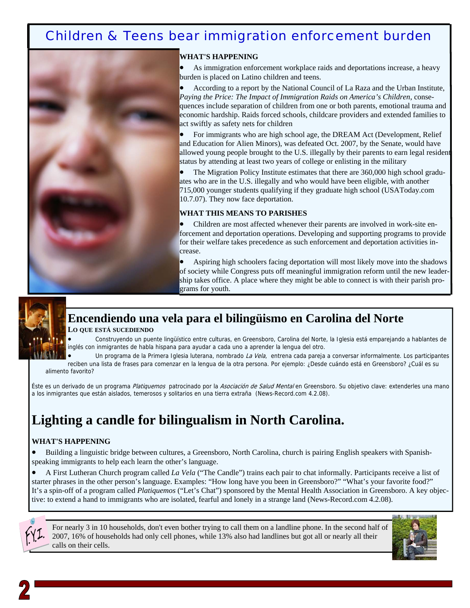## Children & Teens bear immigration enforcement burden



#### **WHAT'S HAPPENING**

As immigration enforcement workplace raids and deportations increase, a heavy burden is placed on Latino children and teens.

• According to a report by the National Council of La Raza and the Urban Institute, *Paying the Price: The Impact of Immigration Raids on America's Children*, consequences include separation of children from one or both parents, emotional trauma and economic hardship. Raids forced schools, childcare providers and extended families to act swiftly as safety nets for children

• For immigrants who are high school age, the DREAM Act (Development, Relief and Education for Alien Minors), was defeated Oct. 2007, by the Senate, would have allowed young people brought to the U.S. illegally by their parents to earn legal resident status by attending at least two years of college or enlisting in the military

The Migration Policy Institute estimates that there are 360,000 high school graduates who are in the U.S. illegally and who would have been eligible, with another 715,000 younger students qualifying if they graduate high school (USAToday.com 10.7.07). They now face deportation.

#### **WHAT THIS MEANS TO PARISHES**

Children are most affected whenever their parents are involved in work-site enforcement and deportation operations. Developing and supporting programs to provide for their welfare takes precedence as such enforcement and deportation activities increase.

• Aspiring high schoolers facing deportation will most likely move into the shadows of society while Congress puts off meaningful immigration reform until the new leadership takes office. A place where they might be able to connect is with their parish programs for youth.



## **Encendiendo una vela para el bilingüismo en Carolina del Norte**

#### **LO QUE ESTÁ SUCEDIENDO**

• Construyendo un puente lingüístico entre culturas, en Greensboro, Carolina del Norte, la Iglesia está emparejando a hablantes de inglés con inmigrantes de habla hispana para ayudar a cada uno a aprender la lengua del otro.

Un programa de la Primera Iglesia luterana, nombrado La Vela, entrena cada pareja a conversar informalmente. Los participantes reciben una lista de frases para comenzar en la lengua de la otra persona. Por ejemplo: ¿Desde cuándo está en Greensboro? ¿Cuál es su alimento favorito?

Éste es un derivado de un programa Platiquemos patrocinado por la Asociación de Salud Mental en Greensboro. Su objetivo clave: extenderles una mano a los inmigrantes que están aislados, temerosos y solitarios en una tierra extraña (News-Record.com 4.2.08).

# **Lighting a candle for bilingualism in North Carolina.**

#### **WHAT'S HAPPENING**

• Building a linguistic bridge between cultures, a Greensboro, North Carolina, church is pairing English speakers with Spanishspeaking immigrants to help each learn the other's language.

• A First Lutheran Church program called *La Vela* ("The Candle") trains each pair to chat informally. Participants receive a list of starter phrases in the other person's language. Examples: "How long have you been in Greensboro?" "What's your favorite food?" It's a spin-off of a program called *Platiquemos* ("Let's Chat") sponsored by the Mental Health Association in Greensboro. A key objective: to extend a hand to immigrants who are isolated, fearful and lonely in a strange land (News-Record.com 4.2.08).

For nearly 3 in 10 households, don't even bother trying to call them on a landline phone. In the second half of 2007, 16% of households had only cell phones, while 13% also had landlines but got all or nearly all their calls on their cells.

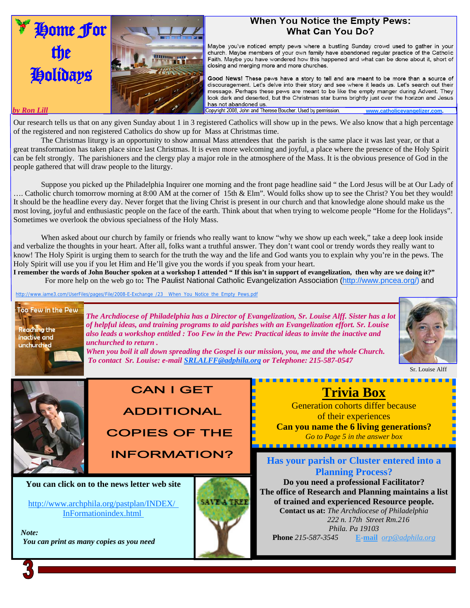

### **When You Notice the Empty Pews:** What Can You Do?

Maybe you've noticed empty pews where a bustling Sunday crowd used to gather in your church. Maybe members of your own family have abandoned regular practice of the Catholic Faith. Maybe you have wondered how this happened and what can be done about it, short of closing and merging more and more churches.

Good News! These pews have a story to tell and are meant to be more than a source of discouragement. Let's delve into their story and see where it leads us. Let's search out their message. Perhaps these pews are meant to be like the empty manger during Advent. They look dark and deserted, but the Christmas star burns brightly just over the horizon and Jesus has not abandoned us. **by Ron Lill** www.catholicevangelizer.com. **Copyright 2008**, John and Therese Boucher. Used by permission. www.catholicevangelizer.com.

Our research tells us that on any given Sunday about 1 in 3 registered Catholics will show up in the pews. We also know that a high percentage of the registered and non registered Catholics do show up for Mass at Christmas time.

 The Christmas liturgy is an opportunity to show annual Mass attendees that the parish is the same place it was last year, or that a great transformation has taken place since last Christmas. It is even more welcoming and joyful, a place where the presence of the Holy Spirit can be felt strongly. The parishioners and the clergy play a major role in the atmosphere of the Mass. It is the obvious presence of God in the people gathered that will draw people to the liturgy.

 Suppose you picked up the Philadelphia Inquirer one morning and the front page headline said " the Lord Jesus will be at Our Lady of …. Catholic church tomorrow morning at 8:00 AM at the corner of 15th & Elm". Would folks show up to see the Christ? You bet they would! It should be the headline every day. Never forget that the living Christ is present in our church and that knowledge alone should make us the most loving, joyful and enthusiastic people on the face of the earth. Think about that when trying to welcome people "Home for the Holidays". Sometimes we overlook the obvious specialness of the Holy Mass.

When asked about our church by family or friends who really want to know "why we show up each week," take a deep look inside and verbalize the thoughts in your heart. After all, folks want a truthful answer. They don't want cool or trendy words they really want to know! The Holy Spirit is urging them to search for the truth the way and the life and God wants you to explain why you're in the pews. The Holy Spirit will use you if you let Him and He'll give you the words if you speak from your heart.

**I remember the words of John Boucher spoken at a workshop I attended " If this isn't in support of evangelization, then why are we doing it?"** For more help on the web go to**:** The Paulist National Catholic Evangelization Association (http://www.pncea.org/) and

http://www.iame3.com/UserFiles/pages/File/2008-E-Exchange\_/23\_\_When\_You\_Notice\_the\_Empty\_Pews.pdf



*The Archdiocese of Philadelphia has a Director of Evangelization, Sr. Louise Alff. Sister has a lot of helpful ideas, and training programs to aid parishes with an Evangelization effort. Sr. Louise also leads a workshop entitled : Too Few in the Pew: Practical ideas to invite the inactive and unchurched to return .* 

*When you boil it all down spreading the Gospel is our mission, you, me and the whole Church.* 

 *To contact Sr. Louise: e-mail SRLALFF@adphila.org or Telephone: 215-587-0547* 



Sr. Louise Alff

# **CAN I GET**

**ADDITIONAL COPIES OF THE** 

**INFORMATION?** 

**You can click on to the news letter web site** 

[http://www.archphila.org/pastplan/](http://archphila.org/pastplan/INDEX/InFormationindex.html)INDEX/ InFormationindex.html

 *Note: You can print as many copies as you need* 



## **Trivia Box**

<u>. . . . . . . . . . . . . .</u>

Generation cohorts differ because of their experiences **Can you name the 6 living generations?**  *Go to Page 5 in the answer box* 

<u>. . . . . . . . . . . . . . . . . . .</u>

**Has your parish or Cluster entered into a Planning Process?** 

**Do you need a professional Facilitator? The office of Research and Planning maintains a list of trained and experienced Resource people. Contact us at:** *The Archdiocese of Philadelphia 222 n. 17th Street Rm.216 Phila. Pa 19103*  **Phone** *215-587-3545* **E-mail** *orp@adphila.org*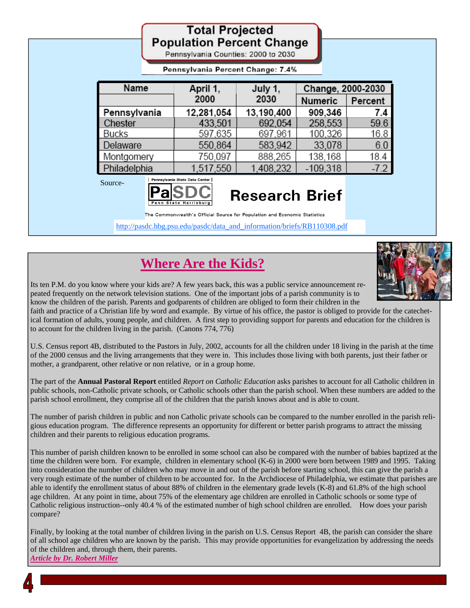|              | <b>Total Projected</b><br><b>Population Percent Change</b><br>Pennsylvania Counties: 2000 to 2030                                                                                                             |                       |                                                |        |
|--------------|---------------------------------------------------------------------------------------------------------------------------------------------------------------------------------------------------------------|-----------------------|------------------------------------------------|--------|
|              | Pennsylvania Percent Change: 7.4%                                                                                                                                                                             |                       |                                                |        |
| Name         | April 1,<br>2000                                                                                                                                                                                              |                       | Change, 2000-2030<br>Percent<br><b>Numeric</b> |        |
| Pennsylvania | 12,281,054                                                                                                                                                                                                    | 13,190,400            | 909,346                                        | 7.4    |
| Chester      | 433,501                                                                                                                                                                                                       | 692,054               | 258,553                                        | 59.6   |
| Bucks        | 597.635                                                                                                                                                                                                       | 697.961               | 100.326                                        | 16.8   |
| Delaware     | 550,864                                                                                                                                                                                                       | 583,942               | 33,078                                         | 6.0    |
| Montgomery   | 750.097                                                                                                                                                                                                       | 888,265               | 138.168                                        | 18.4   |
| Philadelphia | 1,517,550                                                                                                                                                                                                     | 1,408,232             | $-109,318$                                     | $-7.2$ |
| Source-      | Pennsylvania State Data Center<br>Penn State Harrisbu<br>The Commonwealth's Official Source for Population and Economic Statistics<br>http://pasdc.hbg.psu.edu/pasdc/data_and_information/briefs/RB110308.pdf | <b>Research Brief</b> |                                                |        |

# **Where Are the Kids?**



Its ten P.M. do you know where your kids are? A few years back, this was a public service announcement repeated frequently on the network television stations. One of the important jobs of a parish community is to know the children of the parish. Parents and godparents of children are obliged to form their children in the

faith and practice of a Christian life by word and example. By virtue of his office, the pastor is obliged to provide for the catechetical formation of adults, young people, and children. A first step to providing support for parents and education for the children is to account for the children living in the parish. (Canons 774, 776)

U.S. Census report 4B, distributed to the Pastors in July, 2002, accounts for all the children under 18 living in the parish at the time of the 2000 census and the living arrangements that they were in. This includes those living with both parents, just their father or mother, a grandparent, other relative or non relative, or in a group home.

The part of the **Annual Pastoral Report** entitled *Report on Catholic Education* asks parishes to account for all Catholic children in public schools, non-Catholic private schools, or Catholic schools other than the parish school. When these numbers are added to the parish school enrollment, they comprise all of the children that the parish knows about and is able to count.

The number of parish children in public and non Catholic private schools can be compared to the number enrolled in the parish religious education program. The difference represents an opportunity for different or better parish programs to attract the missing children and their parents to religious education programs.

This number of parish children known to be enrolled in some school can also be compared with the number of babies baptized at the time the children were born. For example, children in elementary school (K-6) in 2000 were born between 1989 and 1995. Taking into consideration the number of children who may move in and out of the parish before starting school, this can give the parish a very rough estimate of the number of children to be accounted for. In the Archdiocese of Philadelphia, we estimate that parishes are able to identify the enrollment status of about 88% of children in the elementary grade levels (K-8) and 61.8% of the high school age children. At any point in time, about 75% of the elementary age children are enrolled in Catholic schools or some type of Catholic religious instruction--only 40.4 % of the estimated number of high school children are enrolled. How does your parish compare?

Finally, by looking at the total number of children living in the parish on U.S. Census Report 4B, the parish can consider the share of all school age children who are known by the parish. This may provide opportunities for evangelization by addressing the needs of the children and, through them, their parents. *Article by Dr. Robert Miller*